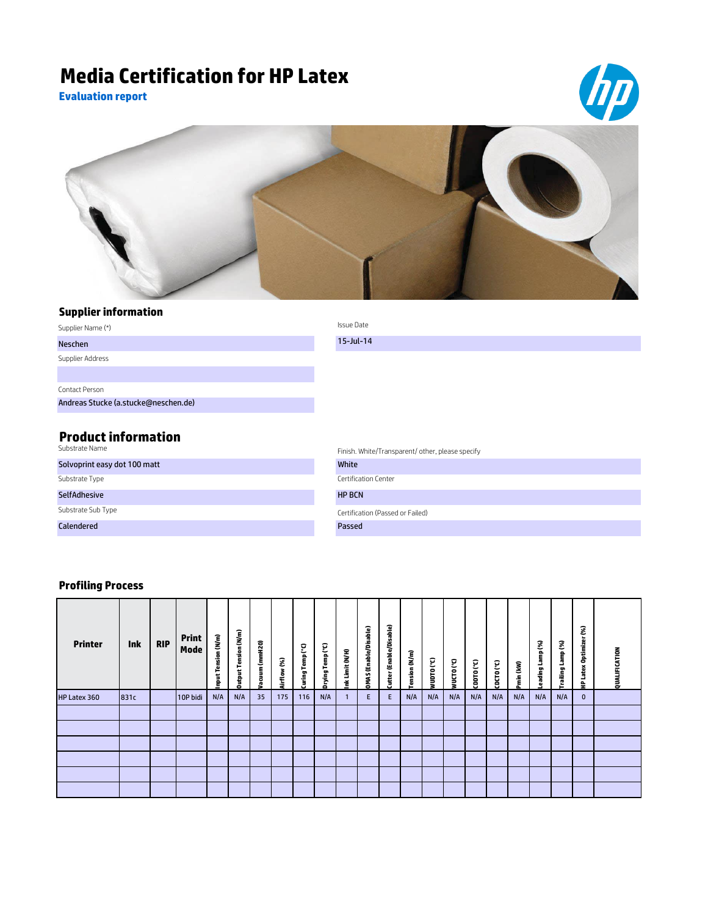## **Media Certification for HP Latex**

**Evaluation report**





## **Supplier information**

| Supplier Name (*)                            | Issue Date                                       |
|----------------------------------------------|--------------------------------------------------|
| Neschen                                      | $15$ -Jul-14                                     |
| Supplier Address                             |                                                  |
|                                              |                                                  |
| Contact Person                               |                                                  |
| Andreas Stucke (a.stucke@neschen.de)         |                                                  |
|                                              |                                                  |
| <b>Product information</b><br>Substrate Name | Finish. White/Transparent/ other, please specify |

|                              | Finish. Writte/Transparent/ Other, please specify |
|------------------------------|---------------------------------------------------|
| Solvoprint easy dot 100 matt | White                                             |
| Substrate Type               | Certification Center                              |
| <b>SelfAdhesive</b>          | <b>HP BCN</b>                                     |
| Substrate Sub Type           | Certification (Passed or Failed)                  |
| Calendered                   | Passed                                            |

## **Profiling Process**

| <b>Printer</b> | <b>Ink</b> | <b>RIP</b> | Print<br>Mode | Tension (N/m)<br>input<br>E | ension (N/m)<br>Ē<br>Output | Vacuum (mmH2O) | Airflow (%) | Temp <sup>(°C)</sup><br>Curing <sup>"</sup> | Drying Temp (°C) | Limit (N/H)<br>Ě | (Enable/Disable)<br><b>OMAS</b> | Cutter (Enable/Disable) | nsion (N/m) | MnDLO ( <sub>c</sub> C) | ၟ<br>WUCTO | CDDTO (°C) | CDCTO (°C) | Pmin (kW) | 3<br>È<br>eading | Lamp (%)<br>Trailing | S.<br>旨<br>Optimize<br>ă<br>۰<br>د<br>읖 | QUALIFICATION |
|----------------|------------|------------|---------------|-----------------------------|-----------------------------|----------------|-------------|---------------------------------------------|------------------|------------------|---------------------------------|-------------------------|-------------|-------------------------|------------|------------|------------|-----------|------------------|----------------------|-----------------------------------------|---------------|
| HP Latex 360   | 831c       |            | 10P bidi      | N/A                         | N/A                         | 35             | 175         | 116                                         | N/A              |                  | E.                              | Ε                       | N/A         | N/A                     | N/A        | N/A        | N/A        | N/A       | N/A              | N/A                  | $\mathbf{0}$                            |               |
|                |            |            |               |                             |                             |                |             |                                             |                  |                  |                                 |                         |             |                         |            |            |            |           |                  |                      |                                         |               |
|                |            |            |               |                             |                             |                |             |                                             |                  |                  |                                 |                         |             |                         |            |            |            |           |                  |                      |                                         |               |
|                |            |            |               |                             |                             |                |             |                                             |                  |                  |                                 |                         |             |                         |            |            |            |           |                  |                      |                                         |               |
|                |            |            |               |                             |                             |                |             |                                             |                  |                  |                                 |                         |             |                         |            |            |            |           |                  |                      |                                         |               |
|                |            |            |               |                             |                             |                |             |                                             |                  |                  |                                 |                         |             |                         |            |            |            |           |                  |                      |                                         |               |
|                |            |            |               |                             |                             |                |             |                                             |                  |                  |                                 |                         |             |                         |            |            |            |           |                  |                      |                                         |               |